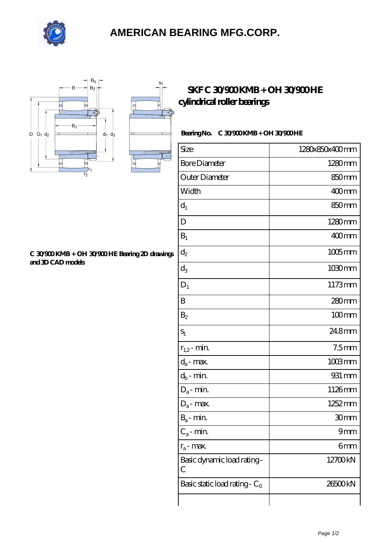

## **[AMERICAN BEARING MFG.CORP.](https://rickandbrianscafe.com)**

 $S<sub>1</sub>$ 

Д



#### **[C 30/900 KMB + OH 30/900 HE Bearing 2D drawings](https://rickandbrianscafe.com/pic-65138036.html) [and 3D CAD models](https://rickandbrianscafe.com/pic-65138036.html)**

### **[SKF C 30/900 KMB + OH 30/900 HE](https://rickandbrianscafe.com/skf-c-30-900-kmb-oh-30-900-he-bearing/) [cylindrical roller bearings](https://rickandbrianscafe.com/skf-c-30-900-kmb-oh-30-900-he-bearing/)**

### **Bearing No. C 30/900 KMB + OH 30/900 HE**

| Size                             | 1280x850x400mm       |
|----------------------------------|----------------------|
| <b>Bore Diameter</b>             | 1280mm               |
| Outer Diameter                   | 850 <sub>mm</sub>    |
| Width                            | $400$ <sub>mm</sub>  |
| $d_1$                            | 850 <sub>mm</sub>    |
| D                                | 1280mm               |
| $B_1$                            | $400$ mm             |
| $d_2$                            | $1005$ mm            |
| $d_3$                            | $1030 \,\mathrm{mm}$ |
| $D_1$                            | 1173mm               |
| B                                | 280mm                |
| B <sub>2</sub>                   | $100$ mm             |
| $S_1$                            | 248mm                |
| $r_{1,2}$ - min.                 | 7.5 <sub>mm</sub>    |
| $d_a$ - max.                     | $1003$ mm            |
| $d_b\operatorname{-} \min$       | 931 mm               |
| $D_a$ - min.                     | 1126mm               |
| $D_a$ - max.                     | 1252 mm              |
| $B_a$ - min.                     | 30mm                 |
| $C_a$ - min.                     | 9mm                  |
| $r_a$ - max.                     | 6mm                  |
| Basic dynamic load rating-<br>C  | 12700kN              |
| Basic static load rating - $C_0$ | 26500kN              |
|                                  |                      |